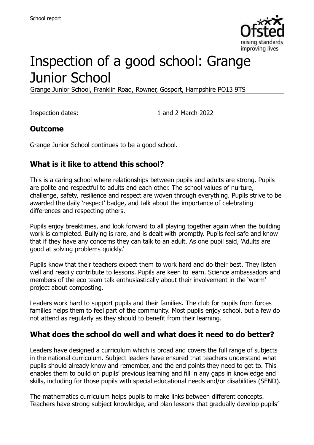

# Inspection of a good school: Grange Junior School

Grange Junior School, Franklin Road, Rowner, Gosport, Hampshire PO13 9TS

Inspection dates: 1 and 2 March 2022

#### **Outcome**

Grange Junior School continues to be a good school.

#### **What is it like to attend this school?**

This is a caring school where relationships between pupils and adults are strong. Pupils are polite and respectful to adults and each other. The school values of nurture, challenge, safety, resilience and respect are woven through everything. Pupils strive to be awarded the daily 'respect' badge, and talk about the importance of celebrating differences and respecting others.

Pupils enjoy breaktimes, and look forward to all playing together again when the building work is completed. Bullying is rare, and is dealt with promptly. Pupils feel safe and know that if they have any concerns they can talk to an adult. As one pupil said, 'Adults are good at solving problems quickly.'

Pupils know that their teachers expect them to work hard and do their best. They listen well and readily contribute to lessons. Pupils are keen to learn. Science ambassadors and members of the eco team talk enthusiastically about their involvement in the 'worm' project about composting.

Leaders work hard to support pupils and their families. The club for pupils from forces families helps them to feel part of the community. Most pupils enjoy school, but a few do not attend as regularly as they should to benefit from their learning.

#### **What does the school do well and what does it need to do better?**

Leaders have designed a curriculum which is broad and covers the full range of subjects in the national curriculum. Subject leaders have ensured that teachers understand what pupils should already know and remember, and the end points they need to get to. This enables them to build on pupils' previous learning and fill in any gaps in knowledge and skills, including for those pupils with special educational needs and/or disabilities (SEND).

The mathematics curriculum helps pupils to make links between different concepts. Teachers have strong subject knowledge, and plan lessons that gradually develop pupils'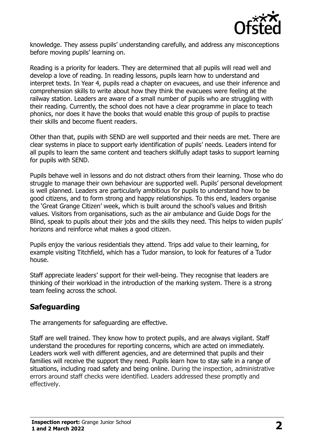

knowledge. They assess pupils' understanding carefully, and address any misconceptions before moving pupils' learning on.

Reading is a priority for leaders. They are determined that all pupils will read well and develop a love of reading. In reading lessons, pupils learn how to understand and interpret texts. In Year 4, pupils read a chapter on evacuees, and use their inference and comprehension skills to write about how they think the evacuees were feeling at the railway station. Leaders are aware of a small number of pupils who are struggling with their reading. Currently, the school does not have a clear programme in place to teach phonics, nor does it have the books that would enable this group of pupils to practise their skills and become fluent readers.

Other than that, pupils with SEND are well supported and their needs are met. There are clear systems in place to support early identification of pupils' needs. Leaders intend for all pupils to learn the same content and teachers skilfully adapt tasks to support learning for pupils with SEND.

Pupils behave well in lessons and do not distract others from their learning. Those who do struggle to manage their own behaviour are supported well. Pupils' personal development is well planned. Leaders are particularly ambitious for pupils to understand how to be good citizens, and to form strong and happy relationships. To this end, leaders organise the 'Great Grange Citizen' week, which is built around the school's values and British values. Visitors from organisations, such as the air ambulance and Guide Dogs for the Blind, speak to pupils about their jobs and the skills they need. This helps to widen pupils' horizons and reinforce what makes a good citizen.

Pupils enjoy the various residentials they attend. Trips add value to their learning, for example visiting Titchfield, which has a Tudor mansion, to look for features of a Tudor house.

Staff appreciate leaders' support for their well-being. They recognise that leaders are thinking of their workload in the introduction of the marking system. There is a strong team feeling across the school.

# **Safeguarding**

The arrangements for safeguarding are effective.

Staff are well trained. They know how to protect pupils, and are always vigilant. Staff understand the procedures for reporting concerns, which are acted on immediately. Leaders work well with different agencies, and are determined that pupils and their families will receive the support they need. Pupils learn how to stay safe in a range of situations, including road safety and being online. During the inspection, administrative errors around staff checks were identified. Leaders addressed these promptly and effectively.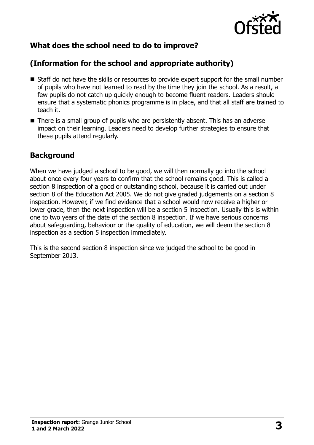

# **What does the school need to do to improve?**

# **(Information for the school and appropriate authority)**

- Staff do not have the skills or resources to provide expert support for the small number of pupils who have not learned to read by the time they join the school. As a result, a few pupils do not catch up quickly enough to become fluent readers. Leaders should ensure that a systematic phonics programme is in place, and that all staff are trained to teach it.
- There is a small group of pupils who are persistently absent. This has an adverse impact on their learning. Leaders need to develop further strategies to ensure that these pupils attend regularly.

# **Background**

When we have judged a school to be good, we will then normally go into the school about once every four years to confirm that the school remains good. This is called a section 8 inspection of a good or outstanding school, because it is carried out under section 8 of the Education Act 2005. We do not give graded judgements on a section 8 inspection. However, if we find evidence that a school would now receive a higher or lower grade, then the next inspection will be a section 5 inspection. Usually this is within one to two years of the date of the section 8 inspection. If we have serious concerns about safeguarding, behaviour or the quality of education, we will deem the section 8 inspection as a section 5 inspection immediately.

This is the second section 8 inspection since we judged the school to be good in September 2013.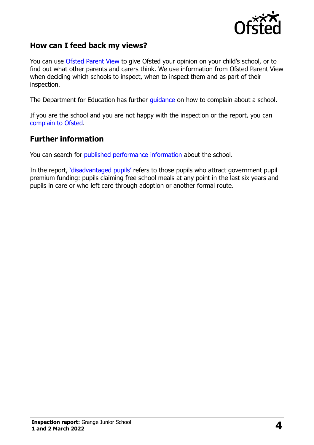

#### **How can I feed back my views?**

You can use [Ofsted Parent View](https://parentview.ofsted.gov.uk/) to give Ofsted your opinion on your child's school, or to find out what other parents and carers think. We use information from Ofsted Parent View when deciding which schools to inspect, when to inspect them and as part of their inspection.

The Department for Education has further [guidance](http://www.gov.uk/complain-about-school) on how to complain about a school.

If you are the school and you are not happy with the inspection or the report, you can [complain to Ofsted.](https://www.gov.uk/complain-ofsted-report)

#### **Further information**

You can search for [published performance information](http://www.compare-school-performance.service.gov.uk/) about the school.

In the report, '[disadvantaged pupils](http://www.gov.uk/guidance/pupil-premium-information-for-schools-and-alternative-provision-settings)' refers to those pupils who attract government pupil premium funding: pupils claiming free school meals at any point in the last six years and pupils in care or who left care through adoption or another formal route.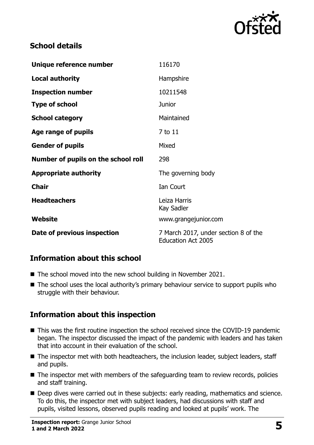

### **School details**

| Unique reference number             | 116170                                                            |
|-------------------------------------|-------------------------------------------------------------------|
| <b>Local authority</b>              | Hampshire                                                         |
| <b>Inspection number</b>            | 10211548                                                          |
| <b>Type of school</b>               | <b>Junior</b>                                                     |
| <b>School category</b>              | Maintained                                                        |
| Age range of pupils                 | 7 to 11                                                           |
| <b>Gender of pupils</b>             | Mixed                                                             |
| Number of pupils on the school roll | 298                                                               |
| <b>Appropriate authority</b>        | The governing body                                                |
| <b>Chair</b>                        | Ian Court                                                         |
| <b>Headteachers</b>                 | Leiza Harris<br>Kay Sadler                                        |
| Website                             | www.grangejunior.com                                              |
| Date of previous inspection         | 7 March 2017, under section 8 of the<br><b>Education Act 2005</b> |

# **Information about this school**

- The school moved into the new school building in November 2021.
- The school uses the local authority's primary behaviour service to support pupils who struggle with their behaviour.

# **Information about this inspection**

- This was the first routine inspection the school received since the COVID-19 pandemic began. The inspector discussed the impact of the pandemic with leaders and has taken that into account in their evaluation of the school.
- The inspector met with both headteachers, the inclusion leader, subject leaders, staff and pupils.
- The inspector met with members of the safeguarding team to review records, policies and staff training.
- Deep dives were carried out in these subjects: early reading, mathematics and science. To do this, the inspector met with subject leaders, had discussions with staff and pupils, visited lessons, observed pupils reading and looked at pupils' work. The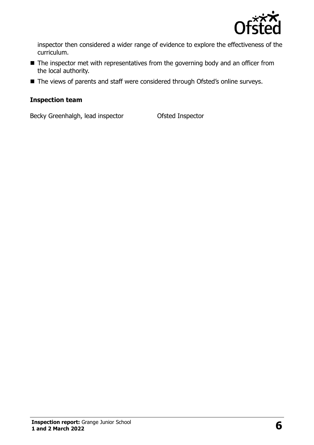

inspector then considered a wider range of evidence to explore the effectiveness of the curriculum.

- The inspector met with representatives from the governing body and an officer from the local authority.
- The views of parents and staff were considered through Ofsted's online surveys.

#### **Inspection team**

Becky Greenhalgh, lead inspector **Ofsted Inspector**